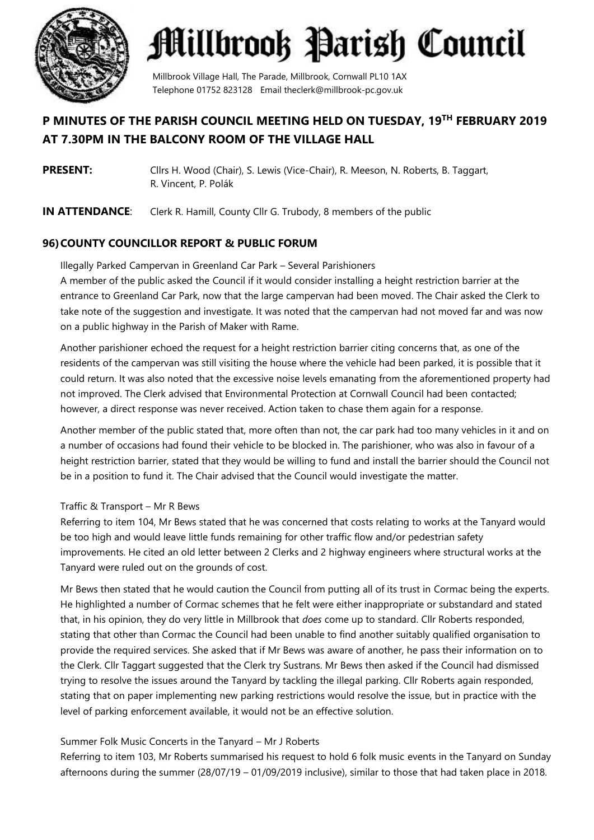

Millbrook Village Hall, The Parade, Millbrook, Cornwall PL10 1AX Telephone 01752 823128 Email theclerk@millbrook-pc.gov.uk

## **P MINUTES OF THE PARISH COUNCIL MEETING HELD ON TUESDAY, 19 TH FEBRUARY 2019 AT 7.30PM IN THE BALCONY ROOM OF THE VILLAGE HALL**

- **PRESENT:** Cllrs H. Wood (Chair), S. Lewis (Vice-Chair), R. Meeson, N. Roberts, B. Taggart, R. Vincent, P. Polák
- **IN ATTENDANCE:** Clerk R. Hamill, County Cllr G. Trubody, 8 members of the public

### **96)COUNTY COUNCILLOR REPORT & PUBLIC FORUM**

Illegally Parked Campervan in Greenland Car Park – Several Parishioners A member of the public asked the Council if it would consider installing a height restriction barrier at the entrance to Greenland Car Park, now that the large campervan had been moved. The Chair asked the Clerk to take note of the suggestion and investigate. It was noted that the campervan had not moved far and was now on a public highway in the Parish of Maker with Rame.

Another parishioner echoed the request for a height restriction barrier citing concerns that, as one of the residents of the campervan was still visiting the house where the vehicle had been parked, it is possible that it could return. It was also noted that the excessive noise levels emanating from the aforementioned property had not improved. The Clerk advised that Environmental Protection at Cornwall Council had been contacted; however, a direct response was never received. Action taken to chase them again for a response.

Another member of the public stated that, more often than not, the car park had too many vehicles in it and on a number of occasions had found their vehicle to be blocked in. The parishioner, who was also in favour of a height restriction barrier, stated that they would be willing to fund and install the barrier should the Council not be in a position to fund it. The Chair advised that the Council would investigate the matter.

### Traffic & Transport – Mr R Bews

Referring to item 104, Mr Bews stated that he was concerned that costs relating to works at the Tanyard would be too high and would leave little funds remaining for other traffic flow and/or pedestrian safety improvements. He cited an old letter between 2 Clerks and 2 highway engineers where structural works at the Tanyard were ruled out on the grounds of cost.

Mr Bews then stated that he would caution the Council from putting all of its trust in Cormac being the experts. He highlighted a number of Cormac schemes that he felt were either inappropriate or substandard and stated that, in his opinion, they do very little in Millbrook that *does* come up to standard. Cllr Roberts responded, stating that other than Cormac the Council had been unable to find another suitably qualified organisation to provide the required services. She asked that if Mr Bews was aware of another, he pass their information on to the Clerk. Cllr Taggart suggested that the Clerk try Sustrans. Mr Bews then asked if the Council had dismissed trying to resolve the issues around the Tanyard by tackling the illegal parking. Cllr Roberts again responded, stating that on paper implementing new parking restrictions would resolve the issue, but in practice with the level of parking enforcement available, it would not be an effective solution.

### Summer Folk Music Concerts in the Tanyard – Mr J Roberts

Referring to item 103, Mr Roberts summarised his request to hold 6 folk music events in the Tanyard on Sunday afternoons during the summer (28/07/19 – 01/09/2019 inclusive), similar to those that had taken place in 2018.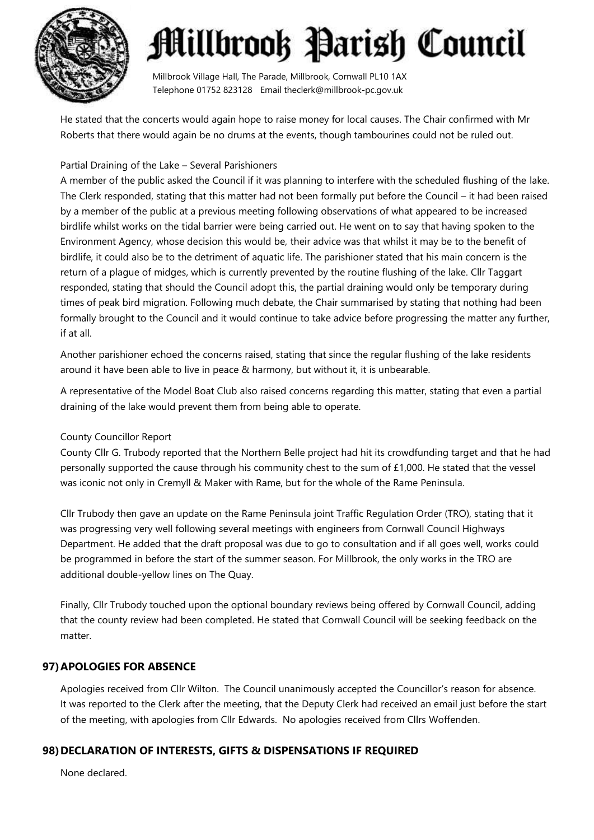

Millbrook Village Hall, The Parade, Millbrook, Cornwall PL10 1AX Telephone 01752 823128 Email theclerk@millbrook-pc.gov.uk

He stated that the concerts would again hope to raise money for local causes. The Chair confirmed with Mr Roberts that there would again be no drums at the events, though tambourines could not be ruled out.

#### Partial Draining of the Lake – Several Parishioners

A member of the public asked the Council if it was planning to interfere with the scheduled flushing of the lake. The Clerk responded, stating that this matter had not been formally put before the Council – it had been raised by a member of the public at a previous meeting following observations of what appeared to be increased birdlife whilst works on the tidal barrier were being carried out. He went on to say that having spoken to the Environment Agency, whose decision this would be, their advice was that whilst it may be to the benefit of birdlife, it could also be to the detriment of aquatic life. The parishioner stated that his main concern is the return of a plague of midges, which is currently prevented by the routine flushing of the lake. Cllr Taggart responded, stating that should the Council adopt this, the partial draining would only be temporary during times of peak bird migration. Following much debate, the Chair summarised by stating that nothing had been formally brought to the Council and it would continue to take advice before progressing the matter any further, if at all.

Another parishioner echoed the concerns raised, stating that since the regular flushing of the lake residents around it have been able to live in peace & harmony, but without it, it is unbearable.

A representative of the Model Boat Club also raised concerns regarding this matter, stating that even a partial draining of the lake would prevent them from being able to operate.

### County Councillor Report

County Cllr G. Trubody reported that the Northern Belle project had hit its crowdfunding target and that he had personally supported the cause through his community chest to the sum of £1,000. He stated that the vessel was iconic not only in Cremyll & Maker with Rame, but for the whole of the Rame Peninsula.

Cllr Trubody then gave an update on the Rame Peninsula joint Traffic Regulation Order (TRO), stating that it was progressing very well following several meetings with engineers from Cornwall Council Highways Department. He added that the draft proposal was due to go to consultation and if all goes well, works could be programmed in before the start of the summer season. For Millbrook, the only works in the TRO are additional double-yellow lines on The Quay.

Finally, Cllr Trubody touched upon the optional boundary reviews being offered by Cornwall Council, adding that the county review had been completed. He stated that Cornwall Council will be seeking feedback on the matter.

### **97)APOLOGIES FOR ABSENCE**

Apologies received from Cllr Wilton. The Council unanimously accepted the Councillor's reason for absence. It was reported to the Clerk after the meeting, that the Deputy Clerk had received an email just before the start of the meeting, with apologies from Cllr Edwards. No apologies received from Cllrs Woffenden.

### **98)DECLARATION OF INTERESTS, GIFTS & DISPENSATIONS IF REQUIRED**

None declared.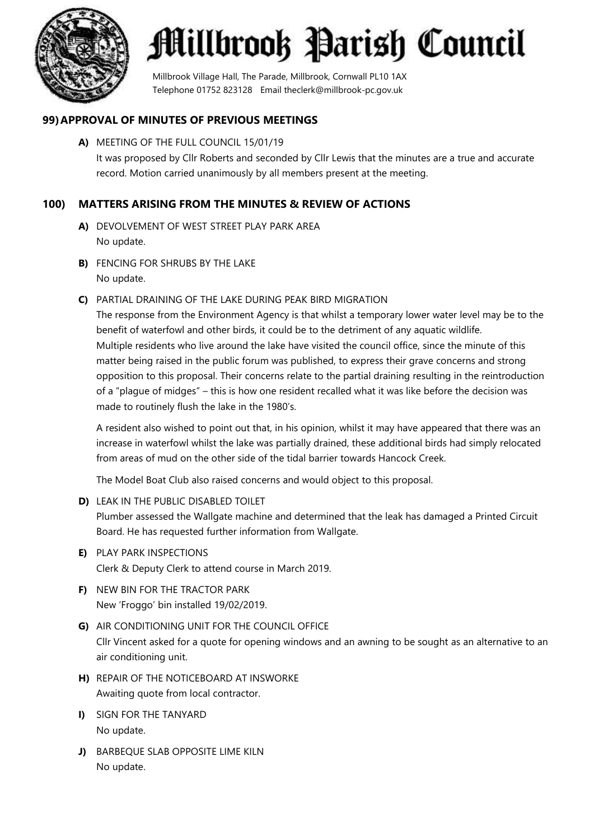

Millbrook Village Hall, The Parade, Millbrook, Cornwall PL10 1AX Telephone 01752 823128 Email theclerk@millbrook-pc.gov.uk

### **99)APPROVAL OF MINUTES OF PREVIOUS MEETINGS**

**A)** MEETING OF THE FULL COUNCIL 15/01/19 It was proposed by Cllr Roberts and seconded by Cllr Lewis that the minutes are a true and accurate record. Motion carried unanimously by all members present at the meeting.

### **100) MATTERS ARISING FROM THE MINUTES & REVIEW OF ACTIONS**

- **A)** DEVOLVEMENT OF WEST STREET PLAY PARK AREA No update.
- **B)** FENCING FOR SHRUBS BY THE LAKE No update.
- **C)** PARTIAL DRAINING OF THE LAKE DURING PEAK BIRD MIGRATION

The response from the Environment Agency is that whilst a temporary lower water level may be to the benefit of waterfowl and other birds, it could be to the detriment of any aquatic wildlife. Multiple residents who live around the lake have visited the council office, since the minute of this matter being raised in the public forum was published, to express their grave concerns and strong opposition to this proposal. Their concerns relate to the partial draining resulting in the reintroduction of a "plague of midges" – this is how one resident recalled what it was like before the decision was made to routinely flush the lake in the 1980's.

A resident also wished to point out that, in his opinion, whilst it may have appeared that there was an increase in waterfowl whilst the lake was partially drained, these additional birds had simply relocated from areas of mud on the other side of the tidal barrier towards Hancock Creek.

The Model Boat Club also raised concerns and would object to this proposal.

**D)** LEAK IN THE PUBLIC DISABLED TOILET

Plumber assessed the Wallgate machine and determined that the leak has damaged a Printed Circuit Board. He has requested further information from Wallgate.

- **E)** PLAY PARK INSPECTIONS Clerk & Deputy Clerk to attend course in March 2019.
- **F)** NEW BIN FOR THE TRACTOR PARK New 'Froggo' bin installed 19/02/2019.
- **G)** AIR CONDITIONING UNIT FOR THE COUNCIL OFFICE Cllr Vincent asked for a quote for opening windows and an awning to be sought as an alternative to an air conditioning unit.
- **H)** REPAIR OF THE NOTICEBOARD AT INSWORKE Awaiting quote from local contractor.
- **I)** SIGN FOR THE TANYARD No update.
- **J)** BARBEQUE SLAB OPPOSITE LIME KILN No update.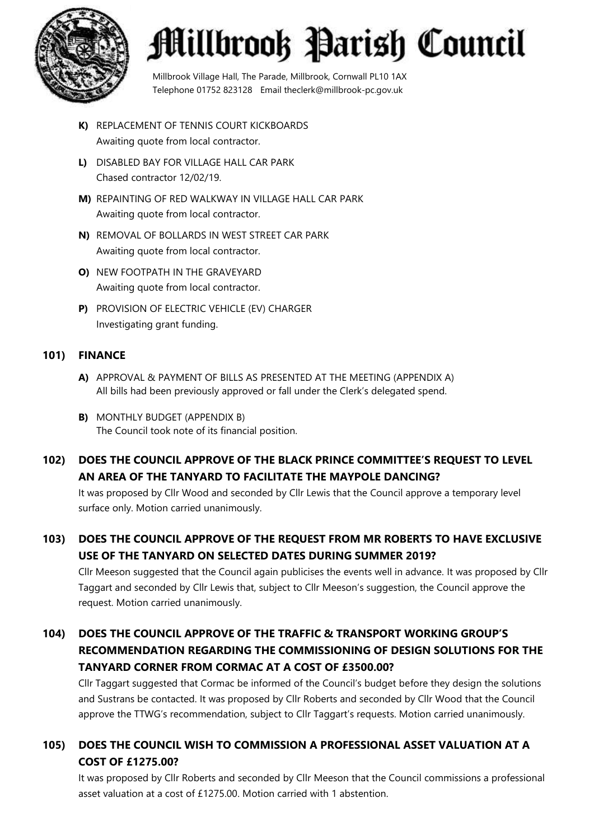

Millbrook Village Hall, The Parade, Millbrook, Cornwall PL10 1AX Telephone 01752 823128 Email theclerk@millbrook-pc.gov.uk

- **K)** REPLACEMENT OF TENNIS COURT KICKBOARDS Awaiting quote from local contractor.
- **L)** DISABLED BAY FOR VILLAGE HALL CAR PARK Chased contractor 12/02/19.
- **M)** REPAINTING OF RED WALKWAY IN VILLAGE HALL CAR PARK Awaiting quote from local contractor.
- **N)** REMOVAL OF BOLLARDS IN WEST STREET CAR PARK Awaiting quote from local contractor.
- **O)** NEW FOOTPATH IN THE GRAVEYARD Awaiting quote from local contractor.
- **P)** PROVISION OF ELECTRIC VEHICLE (EV) CHARGER Investigating grant funding.

### **101) FINANCE**

- **A)** APPROVAL & PAYMENT OF BILLS AS PRESENTED AT THE MEETING (APPENDIX A) All bills had been previously approved or fall under the Clerk's delegated spend.
- **B)** MONTHLY BUDGET (APPENDIX B) The Council took note of its financial position.

## **102) DOES THE COUNCIL APPROVE OF THE BLACK PRINCE COMMITTEE'S REQUEST TO LEVEL AN AREA OF THE TANYARD TO FACILITATE THE MAYPOLE DANCING?**

It was proposed by Cllr Wood and seconded by Cllr Lewis that the Council approve a temporary level surface only. Motion carried unanimously.

## **103) DOES THE COUNCIL APPROVE OF THE REQUEST FROM MR ROBERTS TO HAVE EXCLUSIVE USE OF THE TANYARD ON SELECTED DATES DURING SUMMER 2019?**

Cllr Meeson suggested that the Council again publicises the events well in advance. It was proposed by Cllr Taggart and seconded by Cllr Lewis that, subject to Cllr Meeson's suggestion, the Council approve the request. Motion carried unanimously.

## **104) DOES THE COUNCIL APPROVE OF THE TRAFFIC & TRANSPORT WORKING GROUP'S RECOMMENDATION REGARDING THE COMMISSIONING OF DESIGN SOLUTIONS FOR THE TANYARD CORNER FROM CORMAC AT A COST OF £3500.00?**

Cllr Taggart suggested that Cormac be informed of the Council's budget before they design the solutions and Sustrans be contacted. It was proposed by Cllr Roberts and seconded by Cllr Wood that the Council approve the TTWG's recommendation, subject to Cllr Taggart's requests. Motion carried unanimously.

## **105) DOES THE COUNCIL WISH TO COMMISSION A PROFESSIONAL ASSET VALUATION AT A COST OF £1275.00?**

It was proposed by Cllr Roberts and seconded by Cllr Meeson that the Council commissions a professional asset valuation at a cost of £1275.00. Motion carried with 1 abstention.